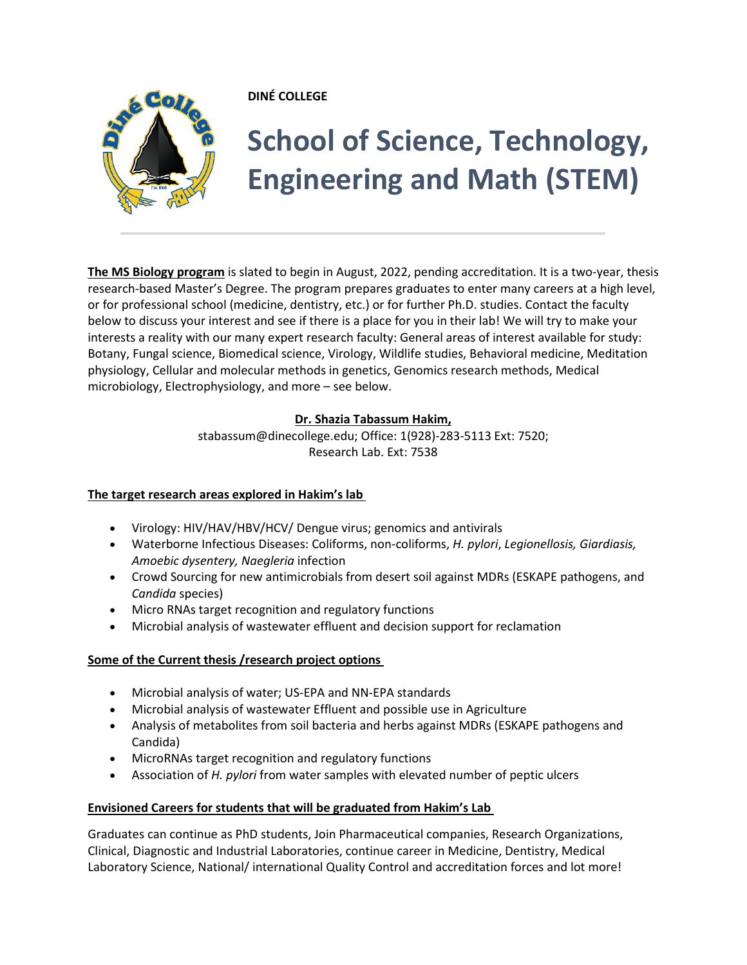

## **DINÉ COLLEGE**

# **School of Science, Technology, Engineering and Math (STEM)**

**The MS Biology program** is slated to begin in August, 2022, pending accreditation. It is a two-year, thesis research-based Master's Degree. The program prepares graduates to enter many careers at a high level, or for professional school (medicine, dentistry, etc.) or for further Ph.D. studies. Contact the faculty below to discuss your interest and see if there is a place for you in their lab! We will try to make your interests a reality with our many expert research faculty: General areas of interest available for study: Botany, Fungal science, Biomedical science, Virology, Wildlife studies, Behavioral medicine, Meditation physiology, Cellular and molecular methods in genetics, Genomics research methods, Medical microbiology, Electrophysiology, and more – see below.

### **Dr. Shazia Tabassum Hakim,**

[stabassum@dinecollege.edu;](mailto:stabassum@dinecollege.edu) Office: 1(928)-283-5113 Ext: 7520; Research Lab. Ext: 7538

## **The target research areas explored in Hakim's lab**

- Virology: HIV/HAV/HBV/HCV/ Dengue virus; genomics and antivirals
- Waterborne Infectious Diseases: Coliforms, non-coliforms, *H. pylori*, *Legionellosis, Giardiasis, Amoebic dysentery, Naegleria* infection
- Crowd Sourcing for new antimicrobials from desert soil against MDRs (ESKAPE pathogens, and *Candida* species)
- Micro RNAs target recognition and regulatory functions
- Microbial analysis of wastewater effluent and decision support for reclamation

## **Some of the Current thesis /research project options**

- Microbial analysis of water; US-EPA and NN-EPA standards
- Microbial analysis of wastewater Effluent and possible use in Agriculture
- Analysis of metabolites from soil bacteria and herbs against MDRs (ESKAPE pathogens and Candida)
- MicroRNAs target recognition and regulatory functions
- Association of *H. pylori* from water samples with elevated number of peptic ulcers

## **Envisioned Careers for students that will be graduated from Hakim's Lab**

Graduates can continue as PhD students, Join Pharmaceutical companies, Research Organizations, Clinical, Diagnostic and Industrial Laboratories, continue career in Medicine, Dentistry, Medical Laboratory Science, National/ international Quality Control and accreditation forces and lot more!